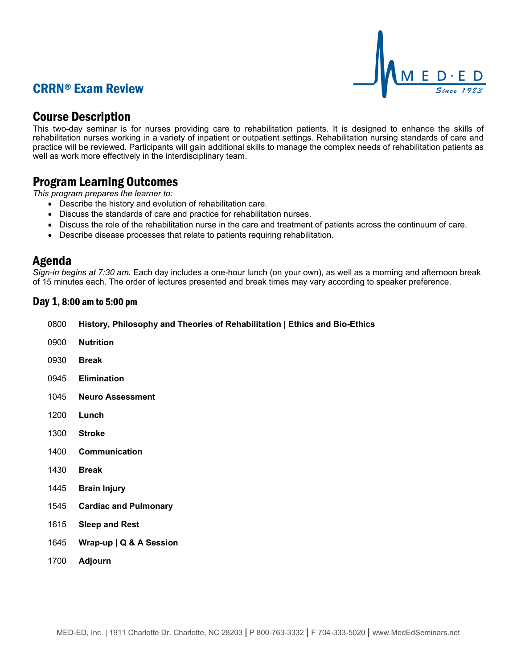## CRRN® Exam Review



### Course Description

This two-day seminar is for nurses providing care to rehabilitation patients. It is designed to enhance the skills of rehabilitation nurses working in a variety of inpatient or outpatient settings. Rehabilitation nursing standards of care and practice will be reviewed. Participants will gain additional skills to manage the complex needs of rehabilitation patients as well as work more effectively in the interdisciplinary team.

## Program Learning Outcomes

*This program prepares the learner to:*

- Describe the history and evolution of rehabilitation care.
- Discuss the standards of care and practice for rehabilitation nurses.
- Discuss the role of the rehabilitation nurse in the care and treatment of patients across the continuum of care.
- Describe disease processes that relate to patients requiring rehabilitation.

### Agenda

*Sign-in begins at 7:30 am.* Each day includes a one-hour lunch (on your own), as well as a morning and afternoon break of 15 minutes each. The order of lectures presented and break times may vary according to speaker preference.

#### Day 1, 8:00 am to 5:00 pm

| 0800 History, Philosophy and Theories of Rehabilitation   Ethics and Bio-Ethics |  |  |
|---------------------------------------------------------------------------------|--|--|
|---------------------------------------------------------------------------------|--|--|

- 0900 **Nutrition**
- 0930 **Break**
- 0945 **Elimination**
- 1045 **Neuro Assessment**
- 1200 **Lunch**
- 1300 **Stroke**
- 1400 **Communication**
- 1430 **Break**
- 1445 **Brain Injury**
- 1545 **Cardiac and Pulmonary**
- 1615 **Sleep and Rest**
- 1645 **Wrap-up | Q & A Session**
- 1700 **Adjourn**